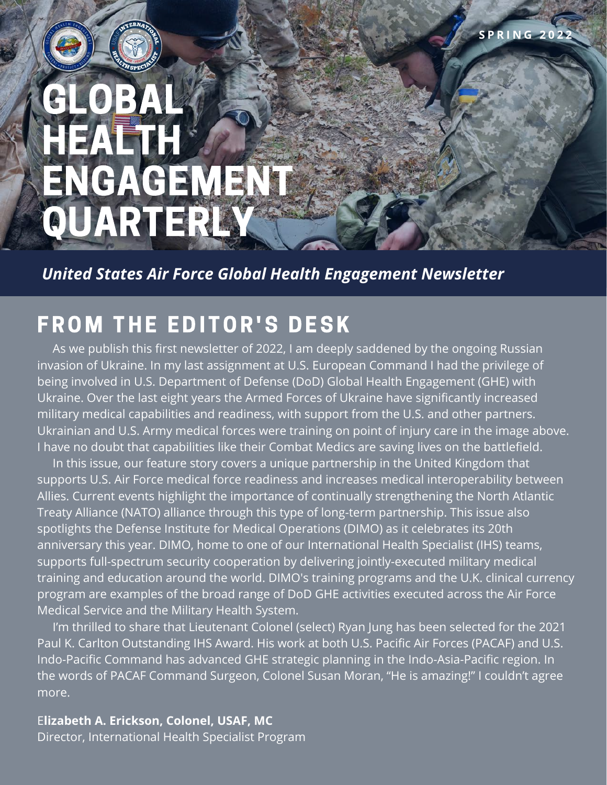# GLOBAL HEALTH ENGAGEMENT **QUARTERLY**

*United States Air Force Global Health Engagement Newsletter*

### **FROM THE EDITOR'S DESK**

 As we publish this first newsletter of 2022, I am deeply saddened by the ongoing Russian invasion of Ukraine. In my last assignment at U.S. European Command I had the privilege of being involved in U.S. Department of Defense (DoD) Global Health Engagement (GHE) with Ukraine. Over the last eight years the Armed Forces of Ukraine have significantly increased military medical capabilities and readiness, with support from the U.S. and other partners. Ukrainian and U.S. Army medical forces were training on point of injury care in the image above. I have no doubt that capabilities like their Combat Medics are saving lives on the battlefield.

**S P R I N G 2 0 2 2**

 In this issue, our feature story covers a unique partnership in the United Kingdom that supports U.S. Air Force medical force readiness and increases medical interoperability between Allies. Current events highlight the importance of continually strengthening the North Atlantic Treaty Alliance (NATO) alliance through this type of long-term partnership. This issue also spotlights the Defense Institute for Medical Operations (DIMO) as it celebrates its 20th anniversary this year. DIMO, home to one of our International Health Specialist (IHS) teams, supports full-spectrum security cooperation by delivering jointly-executed military medical training and education around the world. DIMO's training programs and the U.K. clinical currency program are examples of the broad range of DoD GHE activities executed across the Air Force Medical Service and the Military Health System.

 [I'm thrilled to share that Lieutenant Colonel \(select\) Ryan Jung has been selected for the 2021](https://www.facebook.com/AirForceIHS/posts/316946133803597) Paul K. Carlton Outstanding IHS Award. His work at both U.S. Pacific Air Forces (PACAF) and U.S. Indo-Pacific Command has advanced GHE strategic planning in the Indo-Asia-Pacific region. In the words of PACAF Command Surgeon, Colonel Susan Moran, "He is amazing!" I couldn't agree more.

E**lizabeth A. Erickson, Colonel, USAF, MC** Director, International Health Specialist Program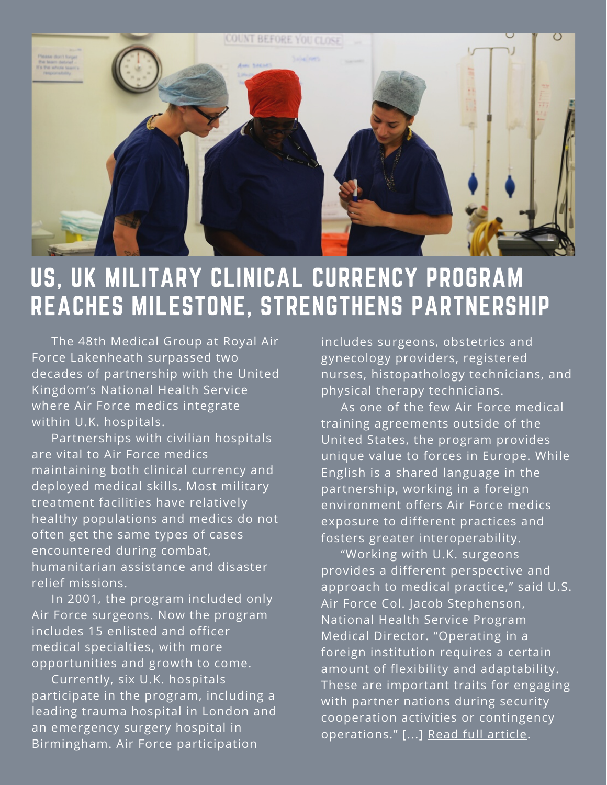

## US, UK MILITARY CLINICAL CURRENCY PROGRAM REACHES MILESTONE, STRENGTHENS PARTNERSHIP

 [The 48th Medical Group at Royal Air](https://www.lakenheath.af.mil/) Force Lakenheath surpassed two decades of partnership with the United Kingdom's National Health Service where Air Force medics integrate within U.K. hospitals.

 Partnerships with civilian hospitals are vital to Air Force medics maintaining both clinical currency and deployed medical skills. Most military treatment facilities have relatively healthy populations and medics do not often get the same types of cases encountered during combat, humanitarian assistance and disaster relief missions.

 In 2001, the program included only Air Force surgeons. Now the program includes 15 enlisted and officer medical specialties, with more opportunities and growth to come.

 Currently, six U.K. hospitals participate in the program, including a leading trauma hospital in London and an emergency surgery hospital in Birmingham. Air Force participation

includes surgeons, obstetrics and gynecology providers, registered nurses, histopathology technicians, and physical therapy technicians.

As one of the few Air Force medical training agreements outside of the United States, the program provides unique value to forces in Europe. While English is a shared language in the partnership, working in a foreign environment offers Air Force medics exposure to different practices and fosters greater interoperability.

 "Working with U.K. surgeons provides a different perspective and approach to medical practice," said U.S. Air Force Col. Jacob Stephenson, National Health Service Program Medical Director. "Operating in a foreign institution requires a certain amount of flexibility and adaptability. These are important traits for engaging with partner nations during security cooperation activities or contingency operations." [...] [Read full article.](https://www.airforcemedicine.af.mil/News/Display/Article/2995708/us-uk-military-clinical-currency-program-reaches-milestone-strengthens-partners/)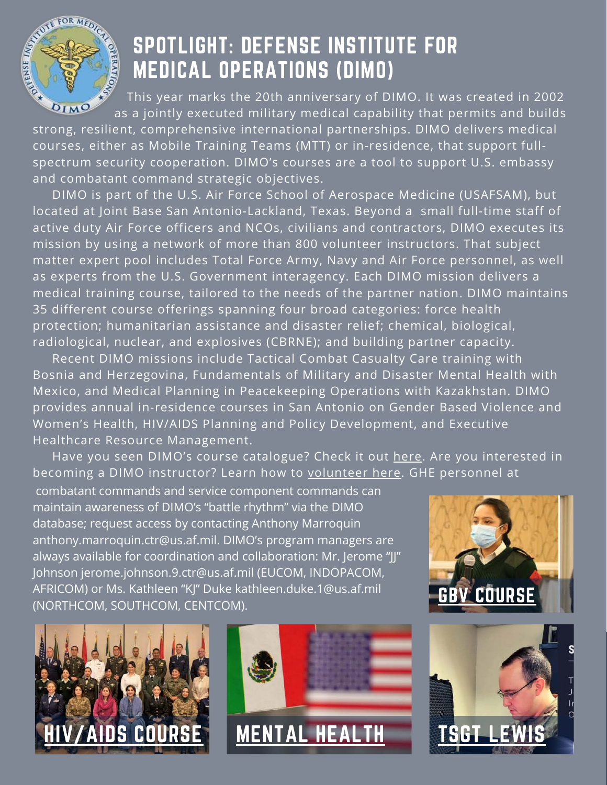

# SPOTLIGHT: DEFENSE INSTITUTE FOR MEDICAL OPERATIONS (DIMO) **x as a spull of the secured military medical capability that permits and builds**<br>as a jointly executed military medical capability that permits and builds

This year marks the 20th anniversary of DIMO. It was created in 2002

strong, resilient, comprehensive international partnerships. DIMO delivers medical courses, either as Mobile Training Teams (MTT) or in-residence, that support fullspectrum security cooperation. DIMO's courses are a tool to support U.S. embassy and combatant command strategic objectives.

 DIMO is part of the U.S. Air Force School of Aerospace Medicine (USAFSAM), but located at Joint Base San Antonio-Lackland, Texas. Beyond a small full-time staff of active duty Air Force officers and NCOs, civilians and contractors, DIMO executes its mission by using a network of more than 800 volunteer instructors. That subject matter expert pool includes Total Force Army, Navy and Air Force personnel, as well as experts from the U.S. Government interagency. Each DIMO mission delivers a medical training course, tailored to the needs of the partner nation. DIMO maintains 35 different course offerings spanning four broad categories: force health protection; humanitarian assistance and disaster relief; chemical, biological, radiological, nuclear, and explosives (CBRNE); and building partner capacity.

 Recent DIMO missions include Tactical Combat Casualty Care training with Bosnia and Herzegovina, Fundamentals of Military and Disaster Mental Health with Mexico, and Medical Planning in Peacekeeping Operations with Kazakhstan. DIMO provides annual in-residence courses in San Antonio on Gender Based Violence and Women's Health, HIV/AIDS Planning and Policy Development, and Executive Healthcare Resource Management.

Have you seen DIMO's course catalogue? Check it out [here.](https://www.afrl.af.mil/711HPW/USAFSAM/dimo/) Are you interested in becoming a DIMO instructor? Learn how to [volunteer here.](https://www.afrl.af.mil/711HPW/USAFSAM/dimo/volunteer/) GHE personnel at

 combatant commands and service component commands can maintain awareness of DIMO's "battle rhythm" via the DIMO database; request access by contacting Anthony Marroquin [anthony.marroquin.ctr@us.af.mil.](mailto:anthony.marroquin.ctr@us.af.mil) DIMO's program managers are always available for coordination and collaboration: Mr. Jerome "JJ" Johnson [jerome.johnson.9.ctr@us.af.mil](mailto:jerome.johnson.9.ctr@us.af.mil) (EUCOM, INDOPACOM, AFRICOM) or Ms. Kathleen "KJ" Duke [kathleen.duke.1@us.af.mil](mailto:kathleen.duke.1@us.af.mil) (NORTHCOM, SOUTHCOM, CENTCOM). GBV [COURSE](https://www.facebook.com/AirForceIHS/posts/308208218010722)







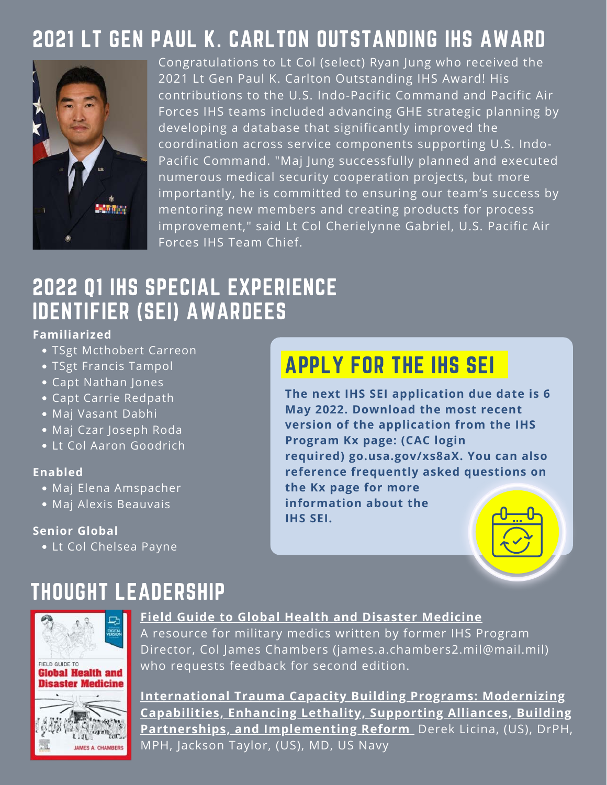### 2021 LT GEN PAUL K. CARLTON OUTSTANDING IHS AWARD



Congratulations to Lt Col (select) Ryan Jung who received the 2021 Lt Gen Paul K. Carlton Outstanding IHS Award! His contributions to the U.S. Indo-Pacific Command and Pacific Air Forces IHS teams included advancing GHE strategic planning by developing a database that significantly improved the coordination across service components supporting U.S. Indo-Pacific Command. "Maj Jung successfully planned and executed numerous medical security cooperation projects, but more importantly, he is committed to ensuring our team's success by mentoring new members and creating products for process [improvement," said Lt Col Cherielynne Gabriel, U.S. Pacific Air](https://www.facebook.com/PACAF/?__cft__[0]=AZV4wsEQ5G2zbMhnxPSyP6UJqRfz33cvinGtIRgCcCzNZnLr-aAmosTKe43dfCsCPa2hdg58T71SACb400S608Jq7JbNUJ89NBq_GvqHik8fXp01Bgqz9xBoaX9rCRMeLLH_UCEnuRR39CbkAYbrIwv-&__tn__=kK*F) Forces IHS Team Chief.

### 2022 Q1 IHS SPECIAL EXPERIENCE IDENTIFIER (SEI) AWARDEES

#### **Familiarized**

- TSgt Mcthobert Carreon
- TSgt Francis Tampol
- Capt Nathan Jones
- Capt Carrie Redpath
- Maj Vasant Dabhi
- Maj Czar Joseph Roda
- Lt Col Aaron Goodrich

#### **Enabled**

- Maj Elena Amspacher
- Maj Alexis Beauvais

#### **Senior Global**

Lt Col Chelsea Payne

## APPLY FOR THE IHS SEI

**The next IHS SEI application due date is 6 May 2022. Download the most recent version of the application from the IHS Program Kx page: (CAC login required) go.usa.gov/xs8aX. You can also reference frequently asked questions on the Kx page for more information about the IHS SEI.**

### THOUGHT LEADERSHIP



#### **[Field Guide to Global Health and Disaster Medicine](https://www.google.com/search?q=Field+Guide+to+Global+Health+%26+Disaster+Medicine&oq=Field+Guide+to+Global+Health+%26+Disaster+Medicine&aqs=chrome..69i57j46i10i512.238j0j4&sourceid=chrome&ie=UTF-8)**

A resource for military medics written by former IHS Program Director, Col James Chambers ([james.a.chambers2.mil@mail.mil\)](mailto:james.a.chambers2.mil@mail.mil) who requests feedback for second edition.

**International Trauma Capacity Building Programs: Modernizing [Capabilities, Enhancing Lethality, Supporting Alliances, Building](https://academic.oup.com/milmed/advance-article/doi/10.1093/milmed/usab539/6519190?login=false) Partnerships, and Implementing Reform** Derek Licina, (US), DrPH, MPH, Jackson Taylor, (US), MD, US Navy